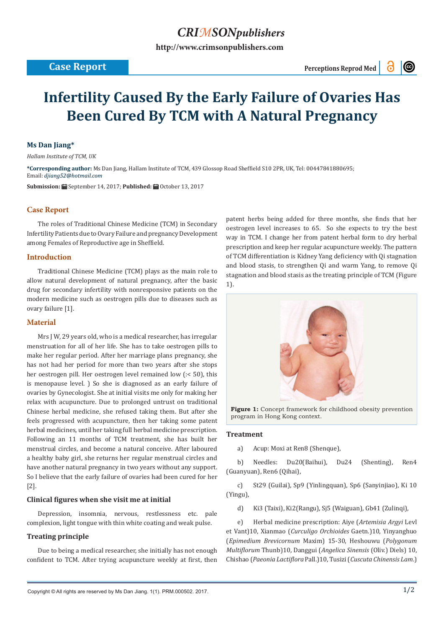## *CRIMSONpublishers*

**[http://www.crimsonpublishers.com](http://crimsonpublishers.com)**

 $\odot$ 

# **Infertility Caused By the Early Failure of Ovaries Has Been Cured By TCM with A Natural Pregnancy**

#### **Ms Dan Jiang\***

*Hallam Institute of TCM, UK*

**\*Corresponding author:** Ms Dan Jiang, Hallam Institute of TCM, 439 Glossop Road Sheffield S10 2PR, UK, Tel: 00447841880695; Email: djiang52@hotmail.com

**Submission:** September 14, 2017; **Published:** October 13, 2017

### **Case Report**

The roles of Traditional Chinese Medicine (TCM) in Secondary Infertility Patients due to Ovary Failure and pregnancy Development among Females of Reproductive age in Sheffield.

#### **Introduction**

Traditional Chinese Medicine (TCM) plays as the main role to allow natural development of natural pregnancy, after the basic drug for secondary infertility with nonresponsive patients on the modern medicine such as oestrogen pills due to diseases such as ovary failure [1].

#### **Material**

Mrs J W, 29 years old, who is a medical researcher, has irregular menstruation for all of her life. She has to take oestrogen pills to make her regular period. After her marriage plans pregnancy, she has not had her period for more than two years after she stops her oestrogen pill. Her oestrogen level remained low (:< 50), this is menopause level. ) So she is diagnosed as an early failure of ovaries by Gynecologist. She at initial visits me only for making her relax with acupuncture. Due to prolonged untrust on traditional Chinese herbal medicine, she refused taking them. But after she feels progressed with acupuncture, then her taking some patent herbal medicines, until her taking full herbal medicine prescription. Following an 11 months of TCM treatment, she has built her menstrual circles, and become a natural conceive. After laboured a healthy baby girl, she returns her regular menstrual circles and have another natural pregnancy in two years without any support. So I believe that the early failure of ovaries had been cured for her [2].

#### **Clinical figures when she visit me at initial**

Depression, insomnia, nervous, restlessness etc. pale complexion, light tongue with thin white coating and weak pulse.

#### **Treating principle**

Due to being a medical researcher, she initially has not enough confident to TCM. After trying acupuncture weekly at first, then patent herbs being added for three months, she finds that her oestrogen level increases to 65. So she expects to try the best way in TCM. I change her from patent herbal form to dry herbal prescription and keep her regular acupuncture weekly. The pattern of TCM differentiation is Kidney Yang deficiency with Qi stagnation and blood stasis, to strengthen Qi and warm Yang, to remove Qi stagnation and blood stasis as the treating principle of TCM (Figure 1).



**Figure 1:** Concept framework for childhood obesity prevention program in Hong Kong context.

#### **Treatment**

a) Acup: Moxi at Ren8 (Shenque),

b) Needles: Du20(Baihui), Du24 (Shenting), Ren4 (Guanyuan), Ren6 (Qihai),

c) St29 (Guilai), Sp9 (Yinlingquan), Sp6 (Sanyinjiao), Ki 10 (Yingu),

d) Ki3 (Taixi), Ki2(Rangu), Sj5 (Waiguan), Gb41 (Zulinqi),

e) Herbal medicine prescription: Aiye (*Artemisia Argyi* Levl et Vant)10, Xianmao (*Curculigo Orchioides* Gaetn.)10, Yinyanghuo (*Epimedium Brevicornum* Maxim) 15-30, Heshouwu (*Polygonum Multiflorum* Thunb)10, Danggui (*Angelica Sinensis* (Oliv.) Diels) 10, Chishao (*Paeonia Lactiflora* Pall.)10, Tusizi (*Cuscuta Chinensis Lam*.)